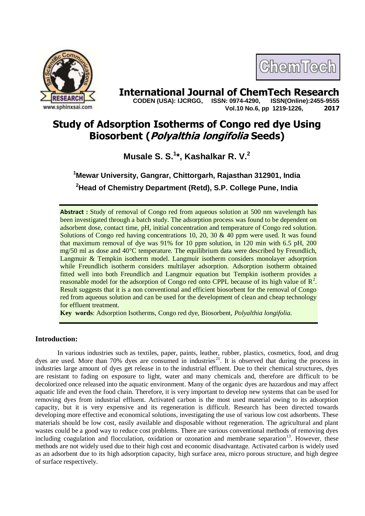

# **International Journal of ChemTech Research**<br>CODEN (USA): IJCRGG. ISSN: 0974-4290. ISSN(Online):2455-9555

 **CODEN (USA): IJCRGG, ISSN: 0974-4290, Vol.10 No.6, pp 1219-1226, 2017**

ChemTech

# **Study of Adsorption Isotherms of Congo red dye Using Biosorbent (Polyalthia longifolia Seeds)**

**Musale S. S.<sup>1</sup> \*, Kashalkar R. V.<sup>2</sup>**

**<sup>1</sup>Mewar University, Gangrar, Chittorgarh, Rajasthan 312901, India <sup>2</sup>Head of Chemistry Department (Retd), S.P. College Pune, India**

**Abstract :** Study of removal of Congo red from aqueous solution at 500 nm wavelength has been investigated through a batch study. The adsorption process was found to be dependent on adsorbent dose, contact time, pH, initial concentration and temperature of Congo red solution. Solutions of Congo red having concentrations 10, 20, 30  $\&$  40 ppm were used. It was found that maximum removal of dye was 91% for 10 ppm solution, in 120 min with 6.5 pH, 200 mg/50 ml as dose and 40°C temperature. The equilibrium data were described by Freundlich, Langmuir & Tempkin isotherm model. Langmuir isotherm considers monolayer adsorption while Freundlich isotherm considers multilayer adsorption. Adsorption isotherm obtained fitted well into both Freundlich and Langmuir equation but Tempkin isotherm provides a reasonable model for the adsorption of Congo red onto CPPL because of its high value of  $\mathbb{R}^2$ . Result suggests that it is a non conventional and efficient biosorbent for the removal of Congo red from aqueous solution and can be used for the development of clean and cheap technology for effluent treatment.

**Key words**: Adsorption Isotherms, Congo red dye, Biosorbent, *Polyalthia longifolia.*

# **Introduction:**

In various industries such as textiles, paper, paints, leather, rubber, plastics, cosmetics, food, and drug dyes are used. More than 70% dyes are consumed in industries<sup>21</sup>. It is observed that during the process in industries large amount of dyes get release in to the industrial effluent. Due to their chemical structures, dyes are resistant to fading on exposure to light, water and many chemicals and, therefore are difficult to be decolorized once released into the aquatic environment. Many of the organic dyes are hazardous and may affect aquatic life and even the food chain. Therefore, it is very important to develop new systems that can be used for removing dyes from industrial effluent. Activated carbon is the most used material owing to its adsorption capacity, but it is very expensive and its regeneration is difficult. Research has been directed towards developing more effective and economical solutions, investigating the use of various low cost adsorbents. These materials should be low cost, easily available and disposable without regeneration. The agricultural and plant wastes could be a good way to reduce cost problems. There are various conventional methods of removing dyes including coagulation and flocculation, oxidation or ozonation and membrane separation<sup>13</sup>. However, these methods are not widely used due to their high cost and economic disadvantage. Activated carbon is widely used as an adsorbent due to its high adsorption capacity, high surface area, micro porous structure, and high degree of surface respectively.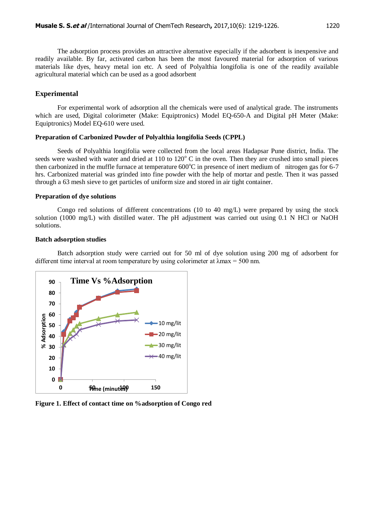The adsorption process provides an attractive alternative especially if the adsorbent is inexpensive and readily available. By far, activated carbon has been the most favoured material for adsorption of various materials like dyes, heavy metal ion etc. A seed of Polyalthia longifolia is one of the readily available agricultural material which can be used as a good adsorbent

# **Experimental**

For experimental work of adsorption all the chemicals were used of analytical grade. The instruments which are used, Digital colorimeter (Make: Equiptronics) Model EQ-650-A and Digital pH Meter (Make: Equiptronics) Model EQ-610 were used.

#### **Preparation of Carbonized Powder of Polyalthia longifolia Seeds (CPPL)**

Seeds of Polyalthia longifolia were collected from the local areas Hadapsar Pune district, India. The seeds were washed with water and dried at  $110$  to  $120^{\circ}$  C in the oven. Then they are crushed into small pieces then carbonized in the muffle furnace at temperature  $600^{\circ}$ C in presence of inert medium of nitrogen gas for 6-7 hrs. Carbonized material was grinded into fine powder with the help of mortar and pestle. Then it was passed through a 63 mesh sieve to get particles of uniform size and stored in air tight container.

#### **Preparation of dye solutions**

Congo red solutions of different concentrations (10 to 40 mg/L) were prepared by using the stock solution (1000 mg/L) with distilled water. The pH adjustment was carried out using 0.1 N HCl or NaOH solutions.

# **Batch adsorption studies**

Batch adsorption study were carried out for 50 ml of dye solution using 200 mg of adsorbent for different time interval at room temperature by using colorimeter at  $\lambda$ max = 500 nm.



**Figure 1. Effect of contact time on %adsorption of Congo red**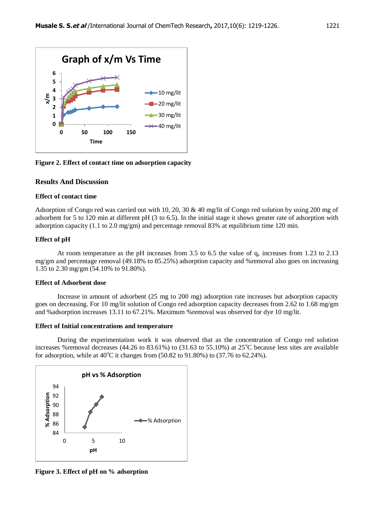

**Figure 2. Effect of contact time on adsorption capacity**

# **Results And Discussion**

#### **Effect of contact time**

Adsorption of Congo red was carried out with 10, 20, 30 & 40 mg/lit of Congo red solution by using 200 mg of adsorbent for 5 to 120 min at different pH (3 to 6.5). In the initial stage it shows greater rate of adsorption with adsorption capacity (1.1 to 2.0 mg/gm) and percentage removal 83% at equilibrium time 120 min.

# **Effect of pH**

At room temperature as the pH increases from 3.5 to 6.5 the value of  $q_e$  increases from 1.23 to 2.13 mg/gm and percentage removal (49.18% to 85.25%) adsorption capacity and %removal also goes on increasing 1.35 to 2.30 mg/gm (54.10% to 91.80%).

#### **Effect of Adsorbent dose**

Increase in amount of adsorbent (25 mg to 200 mg) adsorption rate increases but adsorption capacity goes on decreasing. For 10 mg/lit solution of Congo red adsorption capacity decreases from 2.62 to 1.68 mg/gm and %adsorption increases 13.11 to 67.21%. Maximum %removal was observed for dye 10 mg/lit.

#### **Effect of Initial concentrations and temperature**

During the experimentation work it was observed that as the concentration of Congo red solution increases %removal decreases (44.26 to 83.61%) to (31.63 to 55.10%) at  $25^{\circ}$ C because less sites are available for adsorption, while at  $40^{\circ}$ C it changes from  $(50.82 \text{ to } 91.80\%)$  to  $(37.76 \text{ to } 62.24\%)$ .



**Figure 3. Effect of pH on % adsorption**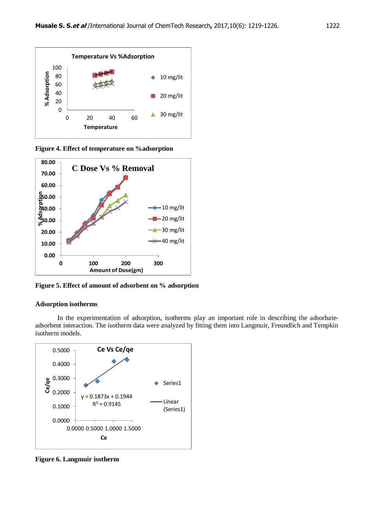

**Figure 4. Effect of temperature on %adsorption**



**Figure 5. Effect of amount of adsorbent on % adsorption** 

### **Adsorption isotherms**

In the experimentation of adsorption, isotherms play an important role in describing the adsorbateadsorbent interaction. The isotherm data were analyzed by fitting them into Langmuir, Freundlich and Tempkin isotherm models.



**Figure 6. Langmuir isotherm**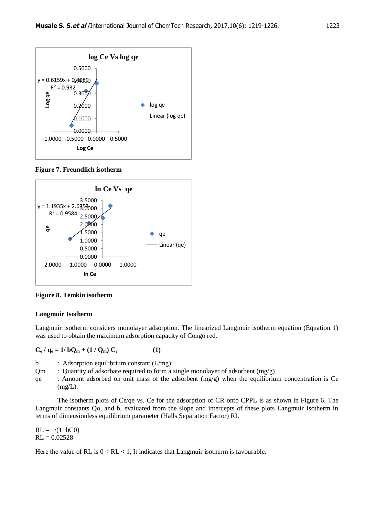

**Figure 7. Freundlich isotherm**



**Figure 8. Temkin isotherm**

# **Langmuir Isotherm**

Langmuir isotherm considers monolayer adsorption. The linearized Langmuir isotherm equation (Equation 1) was used to obtain the maximum adsorption capacity of Congo red.

$$
C_e / q_e = 1 / bQ_m + (1 / Q_m) C_e
$$
 (1)

b : Adsorption equilibrium constant (L/mg)

 $Qm$  : Quantity of adsorbate required to form a single monolayer of adsorbent  $(mg/g)$ 

qe : Amount adsorbed on unit mass of the adsorbent  $(mg/g)$  when the equilibrium concentration is Ce  $(mg/L)$ .

The isotherm plots of Ce/qe vs. Ce for the adsorption of CR onto CPPL is as shown in Figure 6. The Langmuir constants Qo, and b, evaluated from the slope and intercepts of these plots Langmuir Isotherm in terms of dimensionless equilibrium parameter (Halls Separation Factor) RL

 $RL = 1/(1+bC0)$  $RL = 0.02528$ 

Here the value of RL is  $0 < R<sub>L</sub> < 1$ , It indicates that Langmuir isotherm is favourable.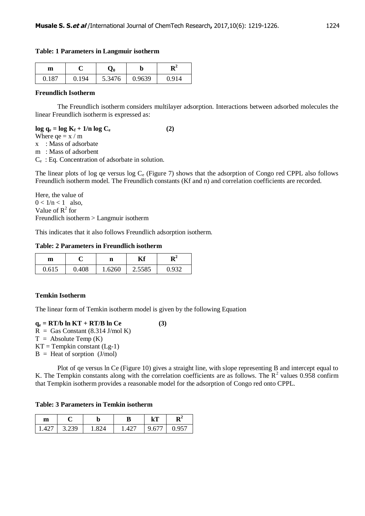# **Table: 1 Parameters in Langmuir isotherm**

| m     |       | Z0     | IJ     | D4    |
|-------|-------|--------|--------|-------|
| 0.187 | 0.194 | 5.3476 | 0.9639 | 0.914 |

# **Freundlich Isotherm**

The Freundlich isotherm considers multilayer adsorption. Interactions between adsorbed molecules the linear Freundlich isotherm is expressed as:

# $\log q_e = \log K_f + 1/n \log C_e$  (2) Where  $qe = x / m$ x : Mass of adsorbate

m : Mass of adsorbent

Ce : Eq. Concentration of adsorbate in solution.

The linear plots of log qe versus log  $C_e$  (Figure 7) shows that the adsorption of Congo red CPPL also follows Freundlich isotherm model. The Freundlich constants (Kf and n) and correlation coefficients are recorded.

Here, the value of  $0 < 1/n < 1$  also, Value of  $R^2$  for Freundlich isotherm > Langmuir isotherm

This indicates that it also follows Freundlich adsorption isotherm.

# **Table: 2 Parameters in Freundlich isotherm**

| m     |       | ш      | T <i>T</i> C |     |
|-------|-------|--------|--------------|-----|
| 0.615 | 0.408 | 1.6260 | 2.5585       | Q32 |

# **Temkin Isotherm**

The linear form of Temkin isotherm model is given by the following Equation

 $q_e = RT/b \ln KT + RT/B \ln Ce$  (3)  $R =$  Gas Constant (8.314 J/mol K)  $T =$  Absolute Temp  $(K)$  $KT = Tempkin constant (Lg-1)$  $B =$  Heat of sorption (J/mol)

Plot of qe versus ln Ce (Figure 10) gives a straight line, with slope representing B and intercept equal to K. The Tempkin constants along with the correlation coefficients are as follows. The  $\mathbb{R}^2$  values 0.958 confirm that Tempkin isotherm provides a reasonable model for the adsorption of Congo red onto CPPL.

# **Table: 3 Parameters in Temkin isotherm**

| m    |       | IJ    |       | $\mathbf{k}$ T | ĸ     |
|------|-------|-------|-------|----------------|-------|
| 1427 | 3.239 | 1 824 | 1.427 | 9.677          | 0.957 |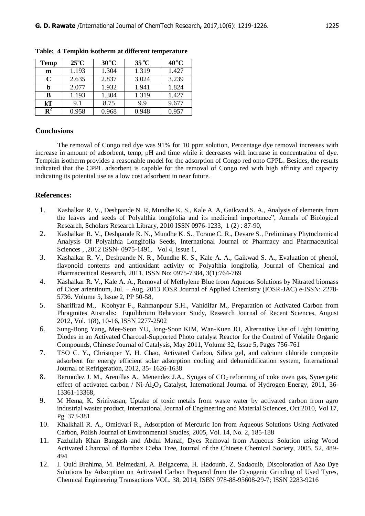| Temp           | $25^{\circ}$ C | $30^{\circ}$ C | $35^{\circ}$ C | $40^{\circ}$ C |
|----------------|----------------|----------------|----------------|----------------|
| m              | 1.193          | 1.304          | 1.319          | 1.427          |
| C              | 2.635          | 2.837          | 3.024          | 3.239          |
| b              | 2.077          | 1.932          | 1.941          | 1.824          |
| B              | 1.193          | 1.304          | 1.319          | 1.427          |
| $\mathbf{k}$ T | 9.1            | 8.75           | 99             | 9.677          |
| $\mathbf{R}^2$ | 0.958          | 0.968          | 0.948          | 0.957          |

**Table: 4 Tempkin isotherm at different temperature**

#### **Conclusions**

The removal of Congo red dye was 91% for 10 ppm solution, Percentage dye removal increases with increase in amount of adsorbent, temp, pH and time while it decreases with increase in concentration of dye. Tempkin isotherm provides a reasonable model for the adsorption of Congo red onto CPPL. Besides, the results indicated that the CPPL adsorbent is capable for the removal of Congo red with high affinity and capacity indicating its potential use as a low cost adsorbent in near future.

# **References:**

- 1. Kashalkar R. V., Deshpande N. R, Mundhe K. S., Kale A. A, Gaikwad S. A., Analysis of elements from the leaves and seeds of Polyalthia longifolia and its medicinal importance", Annals of Biological Research, Scholars Research Library, 2010 ISSN 0976-1233, 1 (2) : 87-90,
- 2. Kashalkar R. V., Deshpande R. N., Mundhe K. S., Torane C. R., Devare S.*,* Preliminary Phytochemical Analysis Of Polyalthia Longifolia Seeds, International Journal of Pharmacy and Pharmaceutical Sciences , ,2012 ISSN- 0975-1491, Vol 4, Issue 1,
- 3. Kashalkar R. V., Deshpande N. R., Mundhe K. S., Kale A. A., Gaikwad S. A., Evaluation of phenol, flavonoid contents and antioxidant activity of Polyalthia longifolia, Journal of Chemical and Pharmaceutical Research, 2011, ISSN No: 0975-7384, 3(1):764-769
- 4. Kashalkar R. V., Kale A. A., Removal of Methylene Blue from Aqueous Solutions by Nitrated biomass of Cicer arientinum, Jul. – Aug. 2013 IOSR Journal of Applied Chemistry (IOSR-JAC) e-ISSN: 2278- 5736. Volume 5, Issue 2, PP 50-58,
- 5. Sharifirad M., Koohyar F., Rahmanpour S.H., Vahidifar M., Preparation of Activated Carbon from Phragmites Australis: Equilibrium Behaviour Study, Research Journal of Recent Sciences, August 2012, Vol. 1(8), 10-16, ISSN 2277-2502
- 6. Sung-Bong Yang, Mee-Seon YU, Jong-Soon KIM, Wan-Kuen JO, Alternative Use of Light Emitting Diodes in an Activated Charcoal-Supported Photo catalyst Reactor for the Control of Volatile Organic Compounds, Chinese Journal of Catalysis, May 2011, Volume 32, Issue 5, Pages 756-761
- 7. TSO C. Y., Christoper Y. H. Chao, Activated Carbon, Silica gel, and calcium chloride composite adsorbent for energy efficient solar adsorption cooling and dehumidification system, International Journal of Refrigeration, 2012, 35- 1626-1638
- 8. Bermudez J. M., Arenillas A., Menendez J.A., Syngas of CO<sub>2</sub> reforming of coke oven gas, Synergetic effect of activated carbon / Ni-Al<sub>2</sub>O<sub>3</sub> Catalyst, International Journal of Hydrogen Energy, 2011, 36-13361-13368,
- 9. M Hema, K. Srinivasan, Uptake of toxic metals from waste water by activated carbon from agro industrial waster product, International Journal of Engineering and Material Sciences, Oct 2010, Vol 17, Pg 373-381
- 10. Khalkhali R. A., Omidvari R., Adsorption of Mercuric Ion from Aqueous Solutions Using Activated Carbon, Polish Journal of Environmental Studies, 2005, Vol. 14, No. 2, 185-188
- 11. Fazlullah Khan Bangash and Abdul Manaf, Dyes Removal from Aqueous Solution using Wood Activated Charcoal of Bombax Cieba Tree, Journal of the Chinese Chemical Society, 2005, 52, 489- 494
- 12. I. Ould Brahima, M. Belmedani, A. Belgacema, H. Hadounb, Z. Sadaouib, Discoloration of Azo Dye Solutions by Adsorption on Activated Carbon Prepared from the Cryogenic Grinding of Used Tyres, Chemical Engineering Transactions VOL. 38, 2014, ISBN 978-88-95608-29-7; ISSN 2283-9216